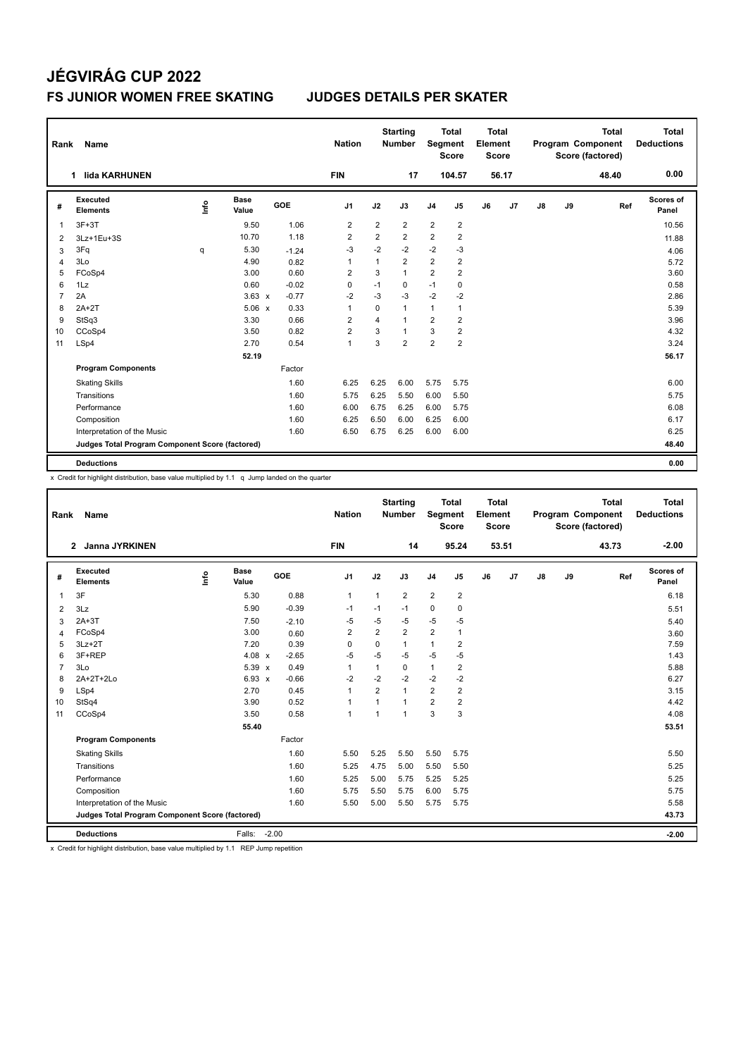| Rank           | Name                                            |      |                      |         | <b>Nation</b>  |                | <b>Starting</b><br><b>Number</b> | Segment        | <b>Total</b><br><b>Score</b> | <b>Total</b><br>Element<br>Score |       |               |    | <b>Total</b><br><b>Program Component</b><br>Score (factored) | Total<br><b>Deductions</b> |
|----------------|-------------------------------------------------|------|----------------------|---------|----------------|----------------|----------------------------------|----------------|------------------------------|----------------------------------|-------|---------------|----|--------------------------------------------------------------|----------------------------|
|                | lida KARHUNEN<br>1                              |      |                      |         | <b>FIN</b>     |                | 17                               |                | 104.57                       |                                  | 56.17 |               |    | 48.40                                                        | 0.00                       |
| #              | <b>Executed</b><br><b>Elements</b>              | lnfo | <b>Base</b><br>Value | GOE     | J <sub>1</sub> | J2             | J3                               | J <sub>4</sub> | J <sub>5</sub>               | J6                               | J7    | $\mathsf{J}8$ | J9 | Ref                                                          | Scores of<br>Panel         |
| 1              | $3F+3T$                                         |      | 9.50                 | 1.06    | $\overline{2}$ | $\overline{2}$ | $\overline{2}$                   | $\overline{2}$ | $\overline{2}$               |                                  |       |               |    |                                                              | 10.56                      |
| $\overline{2}$ | 3Lz+1Eu+3S                                      |      | 10.70                | 1.18    | $\overline{2}$ | 2              | $\overline{2}$                   | $\overline{2}$ | $\overline{2}$               |                                  |       |               |    |                                                              | 11.88                      |
| 3              | 3Fq                                             | q    | 5.30                 | $-1.24$ | $-3$           | $-2$           | $-2$                             | $-2$           | $-3$                         |                                  |       |               |    |                                                              | 4.06                       |
| 4              | 3Lo                                             |      | 4.90                 | 0.82    | $\overline{1}$ | $\mathbf{1}$   | $\overline{2}$                   | $\overline{2}$ | $\overline{2}$               |                                  |       |               |    |                                                              | 5.72                       |
| 5              | FCoSp4                                          |      | 3.00                 | 0.60    | 2              | 3              | $\mathbf{1}$                     | $\overline{2}$ | $\overline{2}$               |                                  |       |               |    |                                                              | 3.60                       |
| 6              | 1Lz                                             |      | 0.60                 | $-0.02$ | 0              | $-1$           | 0                                | $-1$           | 0                            |                                  |       |               |    |                                                              | 0.58                       |
| 7              | 2A                                              |      | $3.63 \times$        | $-0.77$ | $-2$           | $-3$           | $-3$                             | $-2$           | $-2$                         |                                  |       |               |    |                                                              | 2.86                       |
| 8              | $2A+2T$                                         |      | 5.06 x               | 0.33    | $\overline{1}$ | $\Omega$       | $\mathbf{1}$                     | 1              | $\mathbf{1}$                 |                                  |       |               |    |                                                              | 5.39                       |
| 9              | StSq3                                           |      | 3.30                 | 0.66    | 2              | $\overline{4}$ | $\mathbf{1}$                     | $\overline{2}$ | $\overline{2}$               |                                  |       |               |    |                                                              | 3.96                       |
| 10             | CCoSp4                                          |      | 3.50                 | 0.82    | $\overline{2}$ | 3              | $\overline{1}$                   | 3              | $\overline{2}$               |                                  |       |               |    |                                                              | 4.32                       |
| 11             | LSp4                                            |      | 2.70                 | 0.54    | $\overline{1}$ | 3              | $\overline{2}$                   | $\overline{2}$ | $\overline{2}$               |                                  |       |               |    |                                                              | 3.24                       |
|                |                                                 |      | 52.19                |         |                |                |                                  |                |                              |                                  |       |               |    |                                                              | 56.17                      |
|                | <b>Program Components</b>                       |      |                      | Factor  |                |                |                                  |                |                              |                                  |       |               |    |                                                              |                            |
|                | <b>Skating Skills</b>                           |      |                      | 1.60    | 6.25           | 6.25           | 6.00                             | 5.75           | 5.75                         |                                  |       |               |    |                                                              | 6.00                       |
|                | Transitions                                     |      |                      | 1.60    | 5.75           | 6.25           | 5.50                             | 6.00           | 5.50                         |                                  |       |               |    |                                                              | 5.75                       |
|                | Performance                                     |      |                      | 1.60    | 6.00           | 6.75           | 6.25                             | 6.00           | 5.75                         |                                  |       |               |    |                                                              | 6.08                       |
|                | Composition                                     |      |                      | 1.60    | 6.25           | 6.50           | 6.00                             | 6.25           | 6.00                         |                                  |       |               |    |                                                              | 6.17                       |
|                | Interpretation of the Music                     |      |                      | 1.60    | 6.50           | 6.75           | 6.25                             | 6.00           | 6.00                         |                                  |       |               |    |                                                              | 6.25                       |
|                | Judges Total Program Component Score (factored) |      |                      |         |                |                |                                  |                |                              |                                  |       |               |    |                                                              | 48.40                      |
|                | <b>Deductions</b>                               |      |                      |         |                |                |                                  |                |                              |                                  |       |               |    |                                                              | 0.00                       |

x Credit for highlight distribution, base value multiplied by 1.1 q Jump landed on the quarter

| Rank           | Name                                            |      |                      |              |         | <b>Nation</b>  |                | <b>Starting</b><br><b>Number</b> | Segment        | Total<br><b>Score</b> | <b>Total</b><br>Element<br><b>Score</b> |       |               |    | <b>Total</b><br>Program Component<br>Score (factored) |     | <b>Total</b><br><b>Deductions</b> |
|----------------|-------------------------------------------------|------|----------------------|--------------|---------|----------------|----------------|----------------------------------|----------------|-----------------------|-----------------------------------------|-------|---------------|----|-------------------------------------------------------|-----|-----------------------------------|
|                | Janna JYRKINEN<br>$\mathbf{2}$                  |      |                      |              |         | <b>FIN</b>     |                | 14                               |                | 95.24                 |                                         | 53.51 |               |    | 43.73                                                 |     | $-2.00$                           |
| #              | Executed<br><b>Elements</b>                     | lnfo | <b>Base</b><br>Value |              | GOE     | J1             | J2             | J3                               | J <sub>4</sub> | J5                    | J6                                      | J7    | $\mathsf{J}8$ | J9 |                                                       | Ref | Scores of<br>Panel                |
| $\mathbf{1}$   | 3F                                              |      | 5.30                 |              | 0.88    | $\mathbf{1}$   | $\mathbf{1}$   | $\overline{2}$                   | $\overline{2}$ | $\overline{2}$        |                                         |       |               |    |                                                       |     | 6.18                              |
| 2              | 3Lz                                             |      | 5.90                 |              | $-0.39$ | $-1$           | $-1$           | $-1$                             | $\Omega$       | 0                     |                                         |       |               |    |                                                       |     | 5.51                              |
| 3              | $2A+3T$                                         |      | 7.50                 |              | $-2.10$ | -5             | $-5$           | $-5$                             | -5             | $-5$                  |                                         |       |               |    |                                                       |     | 5.40                              |
| $\overline{4}$ | FCoSp4                                          |      | 3.00                 |              | 0.60    | $\overline{2}$ | $\overline{2}$ | $\overline{2}$                   | $\overline{2}$ | 1                     |                                         |       |               |    |                                                       |     | 3.60                              |
| 5              | $3Lz + 2T$                                      |      | 7.20                 |              | 0.39    | $\Omega$       | $\mathbf 0$    | $\mathbf{1}$                     | $\mathbf{1}$   | 2                     |                                         |       |               |    |                                                       |     | 7.59                              |
| 6              | 3F+REP                                          |      | 4.08 $x$             |              | $-2.65$ | $-5$           | $-5$           | $-5$                             | -5             | $-5$                  |                                         |       |               |    |                                                       |     | 1.43                              |
| $\overline{7}$ | 3Lo                                             |      | 5.39 x               |              | 0.49    | $\mathbf{1}$   | $\mathbf{1}$   | 0                                | $\mathbf{1}$   | $\overline{2}$        |                                         |       |               |    |                                                       |     | 5.88                              |
| 8              | 2A+2T+2Lo                                       |      | 6.93                 | $\mathsf{x}$ | $-0.66$ | $-2$           | $-2$           | $-2$                             | $-2$           | $-2$                  |                                         |       |               |    |                                                       |     | 6.27                              |
| 9              | LSp4                                            |      | 2.70                 |              | 0.45    | $\mathbf{1}$   | $\overline{2}$ | 1                                | $\overline{2}$ | $\overline{2}$        |                                         |       |               |    |                                                       |     | 3.15                              |
| 10             | StSq4                                           |      | 3.90                 |              | 0.52    | $\mathbf{1}$   | $\mathbf{1}$   | 1                                | $\overline{2}$ | $\overline{2}$        |                                         |       |               |    |                                                       |     | 4.42                              |
| 11             | CCoSp4                                          |      | 3.50                 |              | 0.58    | $\mathbf{1}$   | $\overline{1}$ | $\overline{1}$                   | 3              | 3                     |                                         |       |               |    |                                                       |     | 4.08                              |
|                |                                                 |      | 55.40                |              |         |                |                |                                  |                |                       |                                         |       |               |    |                                                       |     | 53.51                             |
|                | <b>Program Components</b>                       |      |                      |              | Factor  |                |                |                                  |                |                       |                                         |       |               |    |                                                       |     |                                   |
|                | <b>Skating Skills</b>                           |      |                      |              | 1.60    | 5.50           | 5.25           | 5.50                             | 5.50           | 5.75                  |                                         |       |               |    |                                                       |     | 5.50                              |
|                | Transitions                                     |      |                      |              | 1.60    | 5.25           | 4.75           | 5.00                             | 5.50           | 5.50                  |                                         |       |               |    |                                                       |     | 5.25                              |
|                | Performance                                     |      |                      |              | 1.60    | 5.25           | 5.00           | 5.75                             | 5.25           | 5.25                  |                                         |       |               |    |                                                       |     | 5.25                              |
|                | Composition                                     |      |                      |              | 1.60    | 5.75           | 5.50           | 5.75                             | 6.00           | 5.75                  |                                         |       |               |    |                                                       |     | 5.75                              |
|                | Interpretation of the Music                     |      |                      |              | 1.60    | 5.50           | 5.00           | 5.50                             | 5.75           | 5.75                  |                                         |       |               |    |                                                       |     | 5.58                              |
|                | Judges Total Program Component Score (factored) |      |                      |              |         |                |                |                                  |                |                       |                                         |       |               |    |                                                       |     | 43.73                             |
|                | <b>Deductions</b>                               |      | Falls:               | $-2.00$      |         |                |                |                                  |                |                       |                                         |       |               |    |                                                       |     | $-2.00$                           |

x Credit for highlight distribution, base value multiplied by 1.1 REP Jump repetition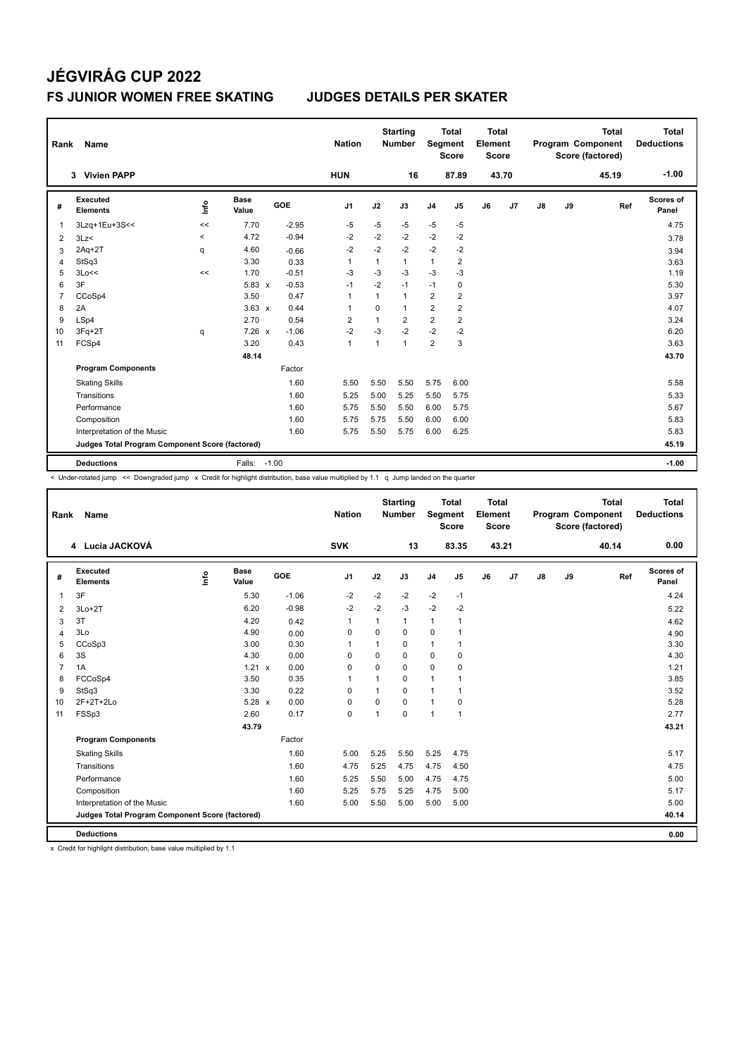| Rank           | Name                                            |         |                      |         | <b>Nation</b>  |              | <b>Starting</b><br><b>Number</b> | <b>Segment</b> | <b>Total</b><br><b>Score</b> | <b>Total</b><br>Element<br><b>Score</b> |       |               |    | <b>Total</b><br>Program Component<br>Score (factored) | <b>Total</b><br><b>Deductions</b> |
|----------------|-------------------------------------------------|---------|----------------------|---------|----------------|--------------|----------------------------------|----------------|------------------------------|-----------------------------------------|-------|---------------|----|-------------------------------------------------------|-----------------------------------|
|                | 3 Vivien PAPP                                   |         |                      |         | <b>HUN</b>     |              | 16                               |                | 87.89                        |                                         | 43.70 |               |    | 45.19                                                 | $-1.00$                           |
| #              | <b>Executed</b><br><b>Elements</b>              | ١nf٥    | <b>Base</b><br>Value | GOE     | J <sub>1</sub> | J2           | J3                               | J <sub>4</sub> | J <sub>5</sub>               | J6                                      | J7    | $\mathsf{J}8$ | J9 | Ref                                                   | <b>Scores of</b><br>Panel         |
| 1              | 3Lzq+1Eu+3S<<                                   | <<      | 7.70                 | $-2.95$ | $-5$           | $-5$         | $-5$                             | $-5$           | $-5$                         |                                         |       |               |    |                                                       | 4.75                              |
| $\overline{2}$ | 3Lz<                                            | $\,<\,$ | 4.72                 | $-0.94$ | $-2$           | $-2$         | $-2$                             | $-2$           | $-2$                         |                                         |       |               |    |                                                       | 3.78                              |
| 3              | $2Aq+2T$                                        | q       | 4.60                 | $-0.66$ | $-2$           | $-2$         | $-2$                             | $-2$           | $-2$                         |                                         |       |               |    |                                                       | 3.94                              |
| 4              | StSq3                                           |         | 3.30                 | 0.33    | $\mathbf{1}$   | 1            | $\mathbf{1}$                     | $\mathbf{1}$   | $\overline{2}$               |                                         |       |               |    |                                                       | 3.63                              |
| 5              | 3Lo<<                                           | <<      | 1.70                 | $-0.51$ | $-3$           | $-3$         | $-3$                             | $-3$           | -3                           |                                         |       |               |    |                                                       | 1.19                              |
| 6              | 3F                                              |         | $5.83 \times$        | $-0.53$ | $-1$           | $-2$         | $-1$                             | $-1$           | 0                            |                                         |       |               |    |                                                       | 5.30                              |
| $\overline{7}$ | CCoSp4                                          |         | 3.50                 | 0.47    | $\overline{1}$ | 1            | $\mathbf{1}$                     | $\overline{2}$ | $\overline{2}$               |                                         |       |               |    |                                                       | 3.97                              |
| 8              | 2A                                              |         | $3.63 \times$        | 0.44    | $\overline{1}$ | $\Omega$     | $\mathbf{1}$                     | $\overline{2}$ | $\overline{2}$               |                                         |       |               |    |                                                       | 4.07                              |
| 9              | LSp4                                            |         | 2.70                 | 0.54    | $\overline{2}$ | $\mathbf{1}$ | $\overline{2}$                   | $\overline{2}$ | $\overline{2}$               |                                         |       |               |    |                                                       | 3.24                              |
| 10             | 3Fq+2T                                          | q       | $7.26 \times$        | $-1.06$ | $-2$           | $-3$         | $-2$                             | $-2$           | $-2$                         |                                         |       |               |    |                                                       | 6.20                              |
| 11             | FCSp4                                           |         | 3.20                 | 0.43    | $\mathbf{1}$   | 1            | $\mathbf{1}$                     | $\overline{2}$ | 3                            |                                         |       |               |    |                                                       | 3.63                              |
|                |                                                 |         | 48.14                |         |                |              |                                  |                |                              |                                         |       |               |    |                                                       | 43.70                             |
|                | <b>Program Components</b>                       |         |                      | Factor  |                |              |                                  |                |                              |                                         |       |               |    |                                                       |                                   |
|                | <b>Skating Skills</b>                           |         |                      | 1.60    | 5.50           | 5.50         | 5.50                             | 5.75           | 6.00                         |                                         |       |               |    |                                                       | 5.58                              |
|                | Transitions                                     |         |                      | 1.60    | 5.25           | 5.00         | 5.25                             | 5.50           | 5.75                         |                                         |       |               |    |                                                       | 5.33                              |
|                | Performance                                     |         |                      | 1.60    | 5.75           | 5.50         | 5.50                             | 6.00           | 5.75                         |                                         |       |               |    |                                                       | 5.67                              |
|                | Composition                                     |         |                      | 1.60    | 5.75           | 5.75         | 5.50                             | 6.00           | 6.00                         |                                         |       |               |    |                                                       | 5.83                              |
|                | Interpretation of the Music                     |         |                      | 1.60    | 5.75           | 5.50         | 5.75                             | 6.00           | 6.25                         |                                         |       |               |    |                                                       | 5.83                              |
|                | Judges Total Program Component Score (factored) |         |                      |         |                |              |                                  |                |                              |                                         |       |               |    |                                                       | 45.19                             |
|                | <b>Deductions</b>                               |         | Falls: -1.00         |         |                |              |                                  |                |                              |                                         |       |               |    |                                                       | $-1.00$                           |

< Under-rotated jump << Downgraded jump x Credit for highlight distribution, base value multiplied by 1.1 q Jump landed on the quarter

| Rank           | Name                                            |      |                      |            | <b>Nation</b>  |              | <b>Starting</b><br><b>Number</b> | Segment        | <b>Total</b><br><b>Score</b> | Total<br>Element<br><b>Score</b> |       |               |    | <b>Total</b><br><b>Program Component</b><br>Score (factored) | Total<br><b>Deductions</b> |
|----------------|-------------------------------------------------|------|----------------------|------------|----------------|--------------|----------------------------------|----------------|------------------------------|----------------------------------|-------|---------------|----|--------------------------------------------------------------|----------------------------|
|                | 4 Lucia JACKOVÁ                                 |      |                      |            | <b>SVK</b>     |              | 13                               |                | 83.35                        |                                  | 43.21 |               |    | 40.14                                                        | 0.00                       |
| #              | Executed<br><b>Elements</b>                     | ١nf٥ | <b>Base</b><br>Value | <b>GOE</b> | J1             | J2           | J3                               | J <sub>4</sub> | J <sub>5</sub>               | J6                               | J7    | $\mathsf{J}8$ | J9 | Ref                                                          | Scores of<br>Panel         |
| $\mathbf{1}$   | 3F                                              |      | 5.30                 | $-1.06$    | $-2$           | $-2$         | $-2$                             | $-2$           | $-1$                         |                                  |       |               |    |                                                              | 4.24                       |
| 2              | $3Lo+2T$                                        |      | 6.20                 | $-0.98$    | $-2$           | $-2$         | $-3$                             | $-2$           | $-2$                         |                                  |       |               |    |                                                              | 5.22                       |
| 3              | 3T                                              |      | 4.20                 | 0.42       | $\mathbf{1}$   | $\mathbf{1}$ | 1                                | 1              | 1                            |                                  |       |               |    |                                                              | 4.62                       |
| $\overline{4}$ | 3Lo                                             |      | 4.90                 | 0.00       | $\mathbf 0$    | $\mathbf 0$  | $\mathbf 0$                      | 0              | 1                            |                                  |       |               |    |                                                              | 4.90                       |
| 5              | CCoSp3                                          |      | 3.00                 | 0.30       | $\overline{1}$ | 1            | $\mathbf 0$                      | $\mathbf{1}$   | $\mathbf{1}$                 |                                  |       |               |    |                                                              | 3.30                       |
| 6              | 3S                                              |      | 4.30                 | 0.00       | $\mathbf 0$    | $\mathbf 0$  | $\mathbf 0$                      | $\mathbf 0$    | $\mathbf 0$                  |                                  |       |               |    |                                                              | 4.30                       |
| $\overline{7}$ | 1A                                              |      | $1.21 \times$        | 0.00       | 0              | 0            | $\mathbf 0$                      | $\mathbf 0$    | $\mathbf 0$                  |                                  |       |               |    |                                                              | 1.21                       |
| 8              | FCCoSp4                                         |      | 3.50                 | 0.35       | $\overline{1}$ | 1            | $\Omega$                         | 1              |                              |                                  |       |               |    |                                                              | 3.85                       |
| 9              | StSq3                                           |      | 3.30                 | 0.22       | 0              | 1            | 0                                | $\mathbf{1}$   | 1                            |                                  |       |               |    |                                                              | 3.52                       |
| 10             | 2F+2T+2Lo                                       |      | 5.28 x               | 0.00       | 0              | $\mathbf 0$  | $\Omega$                         | $\mathbf{1}$   | 0                            |                                  |       |               |    |                                                              | 5.28                       |
| 11             | FSSp3                                           |      | 2.60                 | 0.17       | $\pmb{0}$      | 1            | $\mathbf 0$                      | 1              | 1                            |                                  |       |               |    |                                                              | 2.77                       |
|                |                                                 |      | 43.79                |            |                |              |                                  |                |                              |                                  |       |               |    |                                                              | 43.21                      |
|                | <b>Program Components</b>                       |      |                      | Factor     |                |              |                                  |                |                              |                                  |       |               |    |                                                              |                            |
|                | <b>Skating Skills</b>                           |      |                      | 1.60       | 5.00           | 5.25         | 5.50                             | 5.25           | 4.75                         |                                  |       |               |    |                                                              | 5.17                       |
|                | Transitions                                     |      |                      | 1.60       | 4.75           | 5.25         | 4.75                             | 4.75           | 4.50                         |                                  |       |               |    |                                                              | 4.75                       |
|                | Performance                                     |      |                      | 1.60       | 5.25           | 5.50         | 5.00                             | 4.75           | 4.75                         |                                  |       |               |    |                                                              | 5.00                       |
|                | Composition                                     |      |                      | 1.60       | 5.25           | 5.75         | 5.25                             | 4.75           | 5.00                         |                                  |       |               |    |                                                              | 5.17                       |
|                | Interpretation of the Music                     |      |                      | 1.60       | 5.00           | 5.50         | 5.00                             | 5.00           | 5.00                         |                                  |       |               |    |                                                              | 5.00                       |
|                | Judges Total Program Component Score (factored) |      |                      |            |                |              |                                  |                |                              |                                  |       |               |    |                                                              | 40.14                      |
|                | <b>Deductions</b>                               |      |                      |            |                |              |                                  |                |                              |                                  |       |               |    |                                                              | 0.00                       |

x Credit for highlight distribution, base value multiplied by 1.1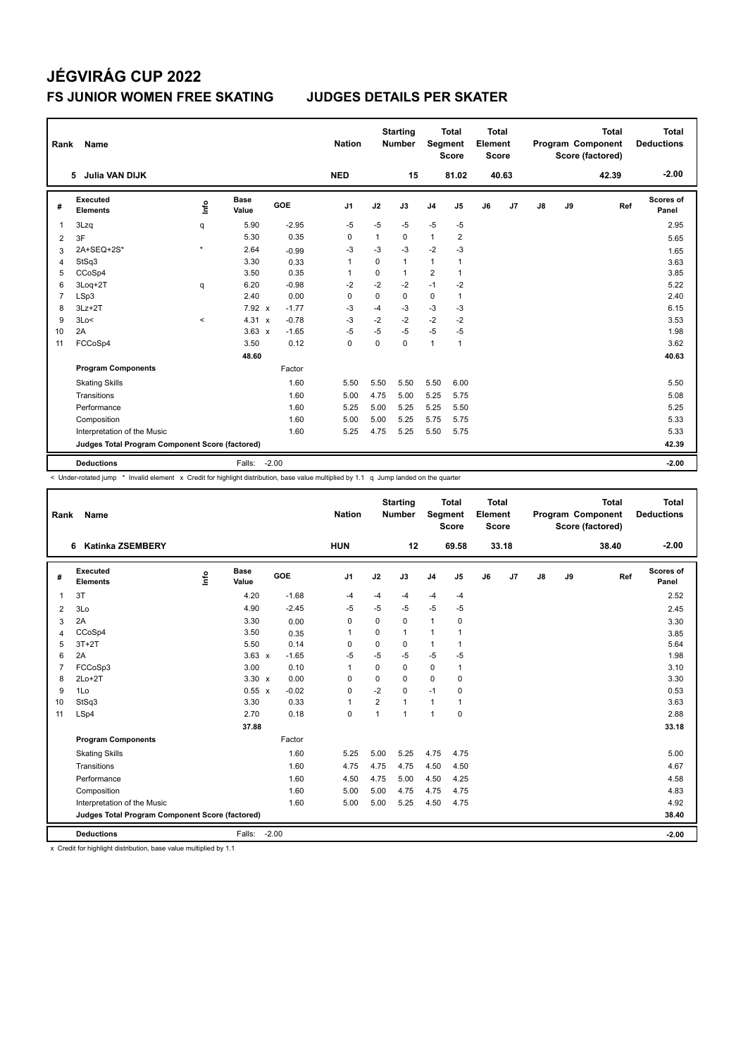| Rank           | Name                                            |         |               |         | <b>Nation</b>  |              | <b>Starting</b><br><b>Number</b> | Segment        | <b>Total</b><br><b>Score</b> | <b>Total</b><br>Element<br><b>Score</b> |       |    |    | <b>Total</b><br>Program Component<br>Score (factored) | <b>Total</b><br><b>Deductions</b> |
|----------------|-------------------------------------------------|---------|---------------|---------|----------------|--------------|----------------------------------|----------------|------------------------------|-----------------------------------------|-------|----|----|-------------------------------------------------------|-----------------------------------|
|                | Julia VAN DIJK<br>5.                            |         |               |         | <b>NED</b>     |              | 15                               |                | 81.02                        |                                         | 40.63 |    |    | 42.39                                                 | $-2.00$                           |
| #              | Executed<br><b>Elements</b>                     | lnfo    | Base<br>Value | GOE     | J <sub>1</sub> | J2           | J3                               | J <sub>4</sub> | J <sub>5</sub>               | J6                                      | J7    | J8 | J9 | Ref                                                   | Scores of<br>Panel                |
| 1              | 3Lzq                                            | q       | 5.90          | $-2.95$ | $-5$           | $-5$         | $-5$                             | $-5$           | $-5$                         |                                         |       |    |    |                                                       | 2.95                              |
| 2              | 3F                                              |         | 5.30          | 0.35    | $\Omega$       | $\mathbf{1}$ | $\Omega$                         | $\mathbf{1}$   | $\overline{2}$               |                                         |       |    |    |                                                       | 5.65                              |
| 3              | 2A+SEQ+2S*                                      | $\star$ | 2.64          | $-0.99$ | -3             | $-3$         | $-3$                             | $-2$           | $-3$                         |                                         |       |    |    |                                                       | 1.65                              |
| 4              | StSq3                                           |         | 3.30          | 0.33    | -1             | $\Omega$     | 1                                | 1              | 1                            |                                         |       |    |    |                                                       | 3.63                              |
| 5              | CCoSp4                                          |         | 3.50          | 0.35    | 1              | 0            | 1                                | 2              | $\mathbf{1}$                 |                                         |       |    |    |                                                       | 3.85                              |
| 6              | 3Loq+2T                                         | q       | 6.20          | $-0.98$ | $-2$           | $-2$         | $-2$                             | $-1$           | $-2$                         |                                         |       |    |    |                                                       | 5.22                              |
| $\overline{7}$ | LSp3                                            |         | 2.40          | 0.00    | 0              | $\mathbf 0$  | $\mathbf 0$                      | $\mathbf 0$    | $\mathbf{1}$                 |                                         |       |    |    |                                                       | 2.40                              |
| 8              | $3Lz + 2T$                                      |         | 7.92 x        | $-1.77$ | $-3$           | $-4$         | -3                               | $-3$           | -3                           |                                         |       |    |    |                                                       | 6.15                              |
| 9              | 3Lo<                                            | $\prec$ | $4.31 \times$ | $-0.78$ | $-3$           | $-2$         | $-2$                             | $-2$           | $-2$                         |                                         |       |    |    |                                                       | 3.53                              |
| 10             | 2A                                              |         | $3.63 \times$ | $-1.65$ | $-5$           | $-5$         | -5                               | $-5$           | $-5$                         |                                         |       |    |    |                                                       | 1.98                              |
| 11             | FCCoSp4                                         |         | 3.50          | 0.12    | $\mathbf 0$    | $\Omega$     | $\Omega$                         | $\mathbf{1}$   | $\mathbf{1}$                 |                                         |       |    |    |                                                       | 3.62                              |
|                |                                                 |         | 48.60         |         |                |              |                                  |                |                              |                                         |       |    |    |                                                       | 40.63                             |
|                | <b>Program Components</b>                       |         |               | Factor  |                |              |                                  |                |                              |                                         |       |    |    |                                                       |                                   |
|                | <b>Skating Skills</b>                           |         |               | 1.60    | 5.50           | 5.50         | 5.50                             | 5.50           | 6.00                         |                                         |       |    |    |                                                       | 5.50                              |
|                | Transitions                                     |         |               | 1.60    | 5.00           | 4.75         | 5.00                             | 5.25           | 5.75                         |                                         |       |    |    |                                                       | 5.08                              |
|                | Performance                                     |         |               | 1.60    | 5.25           | 5.00         | 5.25                             | 5.25           | 5.50                         |                                         |       |    |    |                                                       | 5.25                              |
|                | Composition                                     |         |               | 1.60    | 5.00           | 5.00         | 5.25                             | 5.75           | 5.75                         |                                         |       |    |    |                                                       | 5.33                              |
|                | Interpretation of the Music                     |         |               | 1.60    | 5.25           | 4.75         | 5.25                             | 5.50           | 5.75                         |                                         |       |    |    |                                                       | 5.33                              |
|                | Judges Total Program Component Score (factored) |         |               |         |                |              |                                  |                |                              |                                         |       |    |    |                                                       | 42.39                             |
|                | <b>Deductions</b>                               |         | Falls:        | $-2.00$ |                |              |                                  |                |                              |                                         |       |    |    |                                                       | $-2.00$                           |

< Under-rotated jump \* Invalid element x Credit for highlight distribution, base value multiplied by 1.1 q Jump landed on the quarter

| Rank           | Name                                            |      |                      |            | <b>Nation</b>  |                | <b>Starting</b><br><b>Number</b> | Segment        | <b>Total</b><br><b>Score</b> | <b>Total</b><br>Element<br><b>Score</b> |       |    |    | <b>Total</b><br>Program Component<br>Score (factored) | Total<br><b>Deductions</b> |
|----------------|-------------------------------------------------|------|----------------------|------------|----------------|----------------|----------------------------------|----------------|------------------------------|-----------------------------------------|-------|----|----|-------------------------------------------------------|----------------------------|
|                | <b>Katinka ZSEMBERY</b><br>6                    |      |                      |            | <b>HUN</b>     |                | 12                               |                | 69.58                        |                                         | 33.18 |    |    | 38.40                                                 | $-2.00$                    |
| #              | Executed<br><b>Elements</b>                     | lnfo | <b>Base</b><br>Value | <b>GOE</b> | J <sub>1</sub> | J2             | J3                               | J <sub>4</sub> | J5                           | J6                                      | J7    | J8 | J9 | Ref                                                   | Scores of<br>Panel         |
| 1              | 3T                                              |      | 4.20                 | $-1.68$    | $-4$           | $-4$           | $-4$                             | $-4$           | $-4$                         |                                         |       |    |    |                                                       | 2.52                       |
| 2              | 3Lo                                             |      | 4.90                 | $-2.45$    | -5             | $-5$           | $-5$                             | $-5$           | $-5$                         |                                         |       |    |    |                                                       | 2.45                       |
| 3              | 2A                                              |      | 3.30                 | 0.00       | 0              | 0              | $\mathbf 0$                      | $\mathbf{1}$   | 0                            |                                         |       |    |    |                                                       | 3.30                       |
| 4              | CCoSp4                                          |      | 3.50                 | 0.35       | 1              | $\Omega$       | $\mathbf{1}$                     | 1              | 1                            |                                         |       |    |    |                                                       | 3.85                       |
| 5              | $3T+2T$                                         |      | 5.50                 | 0.14       | $\Omega$       | $\Omega$       | $\Omega$                         | $\mathbf{1}$   | $\mathbf{1}$                 |                                         |       |    |    |                                                       | 5.64                       |
| 6              | 2A                                              |      | $3.63 \times$        | $-1.65$    | $-5$           | $-5$           | $-5$                             | $-5$           | $-5$                         |                                         |       |    |    |                                                       | 1.98                       |
| $\overline{7}$ | FCCoSp3                                         |      | 3.00                 | 0.10       | $\overline{1}$ | $\Omega$       | $\Omega$                         | $\mathbf 0$    | $\mathbf{1}$                 |                                         |       |    |    |                                                       | 3.10                       |
| 8              | $2Lo+2T$                                        |      | $3.30 \times$        | 0.00       | $\Omega$       | $\Omega$       | $\Omega$                         | 0              | 0                            |                                         |       |    |    |                                                       | 3.30                       |
| 9              | 1Lo                                             |      | 0.55 x               | $-0.02$    | 0              | $-2$           | $\Omega$                         | $-1$           | $\Omega$                     |                                         |       |    |    |                                                       | 0.53                       |
| 10             | StSq3                                           |      | 3.30                 | 0.33       | $\overline{1}$ | $\overline{2}$ | $\mathbf{1}$                     | $\mathbf{1}$   | $\mathbf{1}$                 |                                         |       |    |    |                                                       | 3.63                       |
| 11             | LSp4                                            |      | 2.70                 | 0.18       | $\mathbf 0$    | $\mathbf{1}$   | $\mathbf{1}$                     | $\mathbf{1}$   | $\mathbf 0$                  |                                         |       |    |    |                                                       | 2.88                       |
|                |                                                 |      | 37.88                |            |                |                |                                  |                |                              |                                         |       |    |    |                                                       | 33.18                      |
|                | <b>Program Components</b>                       |      |                      | Factor     |                |                |                                  |                |                              |                                         |       |    |    |                                                       |                            |
|                | <b>Skating Skills</b>                           |      |                      | 1.60       | 5.25           | 5.00           | 5.25                             | 4.75           | 4.75                         |                                         |       |    |    |                                                       | 5.00                       |
|                | Transitions                                     |      |                      | 1.60       | 4.75           | 4.75           | 4.75                             | 4.50           | 4.50                         |                                         |       |    |    |                                                       | 4.67                       |
|                | Performance                                     |      |                      | 1.60       | 4.50           | 4.75           | 5.00                             | 4.50           | 4.25                         |                                         |       |    |    |                                                       | 4.58                       |
|                | Composition                                     |      |                      | 1.60       | 5.00           | 5.00           | 4.75                             | 4.75           | 4.75                         |                                         |       |    |    |                                                       | 4.83                       |
|                | Interpretation of the Music                     |      |                      | 1.60       | 5.00           | 5.00           | 5.25                             | 4.50           | 4.75                         |                                         |       |    |    |                                                       | 4.92                       |
|                | Judges Total Program Component Score (factored) |      |                      |            |                |                |                                  |                |                              |                                         |       |    |    |                                                       | 38.40                      |
|                | <b>Deductions</b>                               |      | Falls: -2.00         |            |                |                |                                  |                |                              |                                         |       |    |    |                                                       | $-2.00$                    |

x Credit for highlight distribution, base value multiplied by 1.1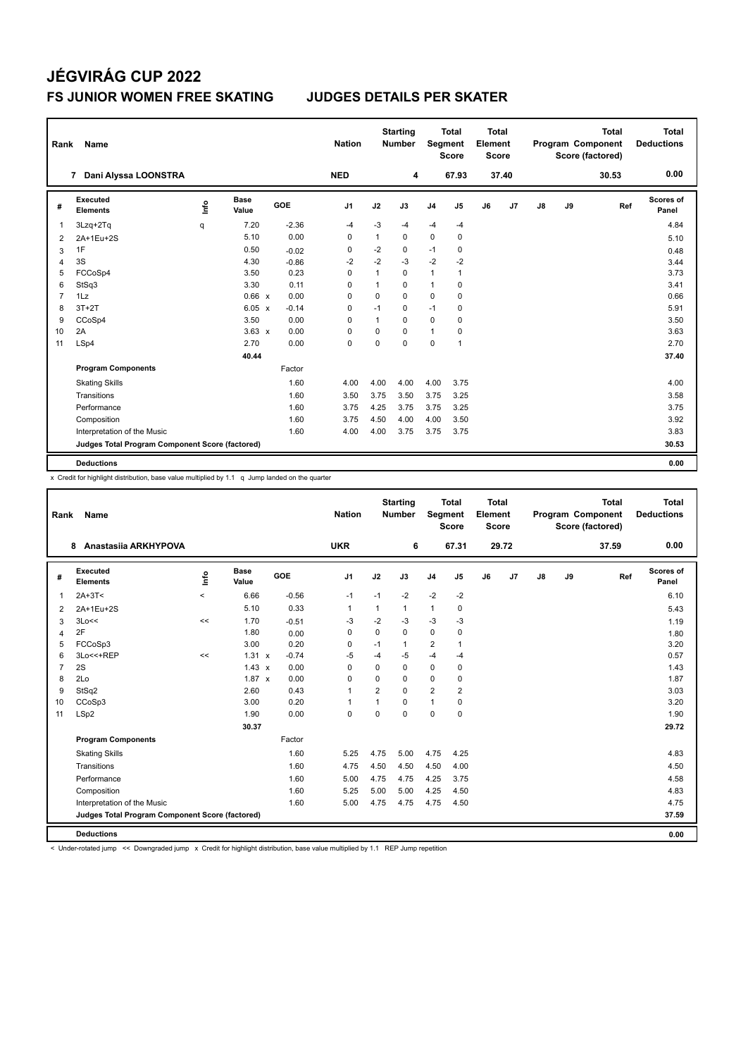| Rank | Name                                            |       |                      |         | <b>Nation</b>  |              | <b>Starting</b><br><b>Number</b> | Segment        | Total<br><b>Score</b> | <b>Total</b><br>Element<br><b>Score</b> |                |               |    | <b>Total</b><br>Program Component<br>Score (factored) | Total<br><b>Deductions</b> |
|------|-------------------------------------------------|-------|----------------------|---------|----------------|--------------|----------------------------------|----------------|-----------------------|-----------------------------------------|----------------|---------------|----|-------------------------------------------------------|----------------------------|
|      | Dani Alyssa LOONSTRA<br>$\overline{7}$          |       |                      |         | <b>NED</b>     |              | 4                                |                | 67.93                 |                                         | 37.40          |               |    | 30.53                                                 | 0.00                       |
| #    | Executed<br><b>Elements</b>                     | Linfo | <b>Base</b><br>Value | GOE     | J <sub>1</sub> | J2           | J3                               | J <sub>4</sub> | J <sub>5</sub>        | J6                                      | J <sub>7</sub> | $\mathsf{J}8$ | J9 | Ref                                                   | Scores of<br>Panel         |
| -1   | 3Lzq+2Tq                                        | q     | 7.20                 | $-2.36$ | $-4$           | $-3$         | -4                               | $-4$           | $-4$                  |                                         |                |               |    |                                                       | 4.84                       |
| 2    | 2A+1Eu+2S                                       |       | 5.10                 | 0.00    | $\Omega$       | $\mathbf{1}$ | $\Omega$                         | 0              | 0                     |                                         |                |               |    |                                                       | 5.10                       |
| 3    | 1F                                              |       | 0.50                 | $-0.02$ | 0              | $-2$         | 0                                | $-1$           | 0                     |                                         |                |               |    |                                                       | 0.48                       |
| 4    | 3S                                              |       | 4.30                 | $-0.86$ | $-2$           | $-2$         | $-3$                             | $-2$           | $-2$                  |                                         |                |               |    |                                                       | 3.44                       |
| 5    | FCCoSp4                                         |       | 3.50                 | 0.23    | $\Omega$       | $\mathbf{1}$ | $\Omega$                         | $\mathbf{1}$   | $\mathbf{1}$          |                                         |                |               |    |                                                       | 3.73                       |
| 6    | StSq3                                           |       | 3.30                 | 0.11    | $\Omega$       | $\mathbf{1}$ | $\Omega$                         | $\mathbf{1}$   | 0                     |                                         |                |               |    |                                                       | 3.41                       |
| 7    | 1Lz                                             |       | 0.66 x               | 0.00    | 0              | $\mathbf 0$  | 0                                | $\mathbf 0$    | 0                     |                                         |                |               |    |                                                       | 0.66                       |
| 8    | $3T+2T$                                         |       | $6.05 \times$        | $-0.14$ | $\Omega$       | $-1$         | $\Omega$                         | $-1$           | 0                     |                                         |                |               |    |                                                       | 5.91                       |
| 9    | CCoSp4                                          |       | 3.50                 | 0.00    | $\Omega$       | $\mathbf{1}$ | $\Omega$                         | $\mathbf 0$    | $\mathbf 0$           |                                         |                |               |    |                                                       | 3.50                       |
| 10   | 2A                                              |       | $3.63 \times$        | 0.00    | $\Omega$       | 0            | $\Omega$                         | $\mathbf{1}$   | 0                     |                                         |                |               |    |                                                       | 3.63                       |
| 11   | LSp4                                            |       | 2.70                 | 0.00    | $\mathbf 0$    | $\mathbf 0$  | $\mathbf 0$                      | $\mathbf 0$    | $\mathbf{1}$          |                                         |                |               |    |                                                       | 2.70                       |
|      |                                                 |       | 40.44                |         |                |              |                                  |                |                       |                                         |                |               |    |                                                       | 37.40                      |
|      | <b>Program Components</b>                       |       |                      | Factor  |                |              |                                  |                |                       |                                         |                |               |    |                                                       |                            |
|      | <b>Skating Skills</b>                           |       |                      | 1.60    | 4.00           | 4.00         | 4.00                             | 4.00           | 3.75                  |                                         |                |               |    |                                                       | 4.00                       |
|      | Transitions                                     |       |                      | 1.60    | 3.50           | 3.75         | 3.50                             | 3.75           | 3.25                  |                                         |                |               |    |                                                       | 3.58                       |
|      | Performance                                     |       |                      | 1.60    | 3.75           | 4.25         | 3.75                             | 3.75           | 3.25                  |                                         |                |               |    |                                                       | 3.75                       |
|      | Composition                                     |       |                      | 1.60    | 3.75           | 4.50         | 4.00                             | 4.00           | 3.50                  |                                         |                |               |    |                                                       | 3.92                       |
|      | Interpretation of the Music                     |       |                      | 1.60    | 4.00           | 4.00         | 3.75                             | 3.75           | 3.75                  |                                         |                |               |    |                                                       | 3.83                       |
|      | Judges Total Program Component Score (factored) |       |                      |         |                |              |                                  |                |                       |                                         |                |               |    |                                                       | 30.53                      |
|      | <b>Deductions</b>                               |       |                      |         |                |              |                                  |                |                       |                                         |                |               |    |                                                       | 0.00                       |

x Credit for highlight distribution, base value multiplied by 1.1 q Jump landed on the quarter

| Rank           | Name                                            |         |                      |         | <b>Nation</b>  |                | <b>Starting</b><br><b>Number</b> | Segment        | <b>Total</b><br><b>Score</b> | <b>Total</b><br>Element<br><b>Score</b> |       |               |    | <b>Total</b><br>Program Component<br>Score (factored) | Total<br><b>Deductions</b> |
|----------------|-------------------------------------------------|---------|----------------------|---------|----------------|----------------|----------------------------------|----------------|------------------------------|-----------------------------------------|-------|---------------|----|-------------------------------------------------------|----------------------------|
|                | Anastasiia ARKHYPOVA<br>8                       |         |                      |         | <b>UKR</b>     |                | 6                                |                | 67.31                        |                                         | 29.72 |               |    | 37.59                                                 | 0.00                       |
| #              | Executed<br><b>Elements</b>                     | lnfo    | <b>Base</b><br>Value | GOE     | J <sub>1</sub> | J2             | J3                               | J <sub>4</sub> | J5                           | J6                                      | J7    | $\mathsf{J}8$ | J9 | Ref                                                   | Scores of<br>Panel         |
| $\mathbf{1}$   | $2A+3T<$                                        | $\prec$ | 6.66                 | $-0.56$ | $-1$           | $-1$           | $-2$                             | $-2$           | $-2$                         |                                         |       |               |    |                                                       | 6.10                       |
| 2              | 2A+1Eu+2S                                       |         | 5.10                 | 0.33    | 1              | 1              | 1                                | $\mathbf{1}$   | 0                            |                                         |       |               |    |                                                       | 5.43                       |
| 3              | 3Lo<<                                           | <<      | 1.70                 | $-0.51$ | -3             | $-2$           | $-3$                             | $-3$           | $-3$                         |                                         |       |               |    |                                                       | 1.19                       |
| $\overline{4}$ | 2F                                              |         | 1.80                 | 0.00    | $\mathbf 0$    | $\Omega$       | 0                                | $\mathbf 0$    | $\mathbf 0$                  |                                         |       |               |    |                                                       | 1.80                       |
| 5              | FCCoSp3                                         |         | 3.00                 | 0.20    | $\mathbf 0$    | $-1$           | 1                                | $\overline{2}$ | 1                            |                                         |       |               |    |                                                       | 3.20                       |
| 6              | 3Lo<<+REP                                       | <<      | 1.31 x               | $-0.74$ | $-5$           | $-4$           | $-5$                             | $-4$           | $-4$                         |                                         |       |               |    |                                                       | 0.57                       |
| $\overline{7}$ | 2S                                              |         | $1.43 \times$        | 0.00    | $\mathbf 0$    | $\Omega$       | 0                                | $\mathbf 0$    | $\mathbf 0$                  |                                         |       |               |    |                                                       | 1.43                       |
| 8              | 2Lo                                             |         | $1.87 \times$        | 0.00    | $\Omega$       | $\Omega$       | 0                                | $\mathbf 0$    | 0                            |                                         |       |               |    |                                                       | 1.87                       |
| 9              | StSq2                                           |         | 2.60                 | 0.43    | $\mathbf{1}$   | $\overline{2}$ | 0                                | $\overline{2}$ | $\overline{2}$               |                                         |       |               |    |                                                       | 3.03                       |
| 10             | CCoSp3                                          |         | 3.00                 | 0.20    | $\mathbf{1}$   | 1              | 0                                | $\mathbf{1}$   | 0                            |                                         |       |               |    |                                                       | 3.20                       |
| 11             | LSp2                                            |         | 1.90                 | 0.00    | $\mathbf 0$    | $\Omega$       | 0                                | $\mathbf 0$    | $\mathbf 0$                  |                                         |       |               |    |                                                       | 1.90                       |
|                |                                                 |         | 30.37                |         |                |                |                                  |                |                              |                                         |       |               |    |                                                       | 29.72                      |
|                | <b>Program Components</b>                       |         |                      | Factor  |                |                |                                  |                |                              |                                         |       |               |    |                                                       |                            |
|                | <b>Skating Skills</b>                           |         |                      | 1.60    | 5.25           | 4.75           | 5.00                             | 4.75           | 4.25                         |                                         |       |               |    |                                                       | 4.83                       |
|                | Transitions                                     |         |                      | 1.60    | 4.75           | 4.50           | 4.50                             | 4.50           | 4.00                         |                                         |       |               |    |                                                       | 4.50                       |
|                | Performance                                     |         |                      | 1.60    | 5.00           | 4.75           | 4.75                             | 4.25           | 3.75                         |                                         |       |               |    |                                                       | 4.58                       |
|                | Composition                                     |         |                      | 1.60    | 5.25           | 5.00           | 5.00                             | 4.25           | 4.50                         |                                         |       |               |    |                                                       | 4.83                       |
|                | Interpretation of the Music                     |         |                      | 1.60    | 5.00           | 4.75           | 4.75                             | 4.75           | 4.50                         |                                         |       |               |    |                                                       | 4.75                       |
|                | Judges Total Program Component Score (factored) |         |                      |         |                |                |                                  |                |                              |                                         |       |               |    |                                                       | 37.59                      |
|                | <b>Deductions</b>                               |         |                      |         |                |                |                                  |                |                              |                                         |       |               |    |                                                       | 0.00                       |

< Under-rotated jump << Downgraded jump x Credit for highlight distribution, base value multiplied by 1.1 REP Jump repetition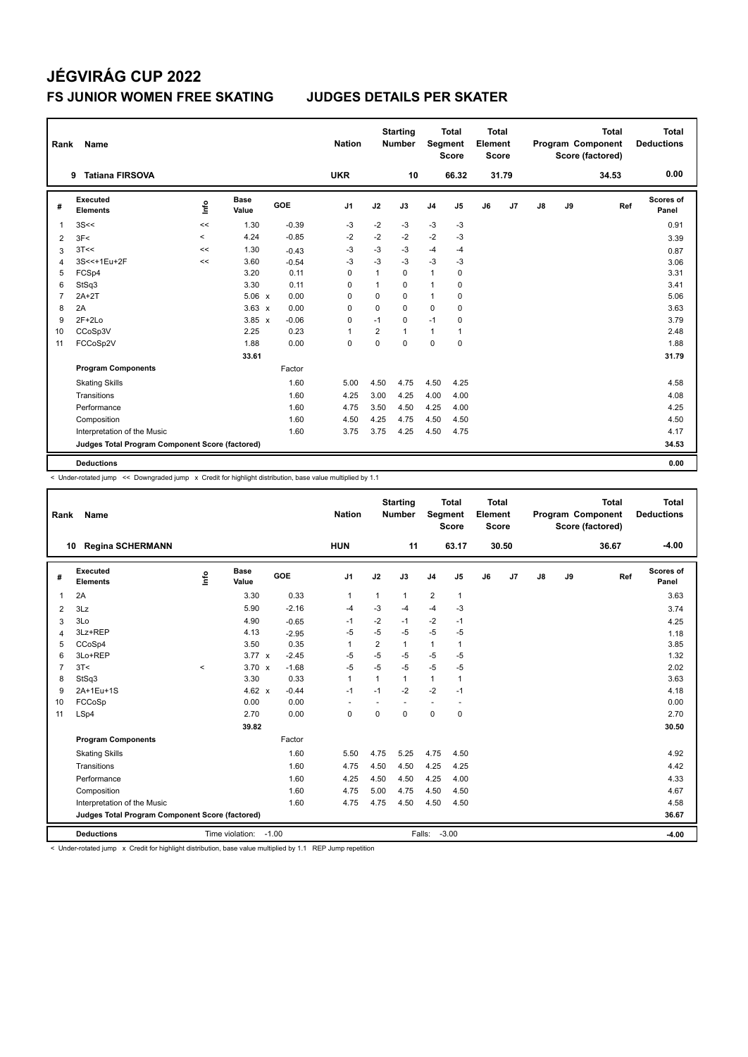| Rank           | Name                                            |         |                      |         | <b>Nation</b>  |              | <b>Starting</b><br><b>Number</b> |                | <b>Total</b><br>Segment<br><b>Score</b> | Total<br>Element<br><b>Score</b> |       |    |    | <b>Total</b><br>Program Component<br>Score (factored) | Total<br><b>Deductions</b> |
|----------------|-------------------------------------------------|---------|----------------------|---------|----------------|--------------|----------------------------------|----------------|-----------------------------------------|----------------------------------|-------|----|----|-------------------------------------------------------|----------------------------|
|                | <b>Tatiana FIRSOVA</b><br>9                     |         |                      |         | <b>UKR</b>     |              | 10                               |                | 66.32                                   |                                  | 31.79 |    |    | 34.53                                                 | 0.00                       |
| #              | <b>Executed</b><br><b>Elements</b>              | lnfo    | <b>Base</b><br>Value | GOE     | J <sub>1</sub> | J2           | J3                               | J <sub>4</sub> | J <sub>5</sub>                          | J6                               | J7    | J8 | J9 | Ref                                                   | Scores of<br>Panel         |
| 1              | 3S<<                                            | <<      | 1.30                 | $-0.39$ | -3             | $-2$         | $-3$                             | $-3$           | $-3$                                    |                                  |       |    |    |                                                       | 0.91                       |
| 2              | 3F<                                             | $\,<\,$ | 4.24                 | $-0.85$ | $-2$           | $-2$         | $-2$                             | $-2$           | $-3$                                    |                                  |       |    |    |                                                       | 3.39                       |
| 3              | 3T<<                                            | <<      | 1.30                 | $-0.43$ | $-3$           | $-3$         | $-3$                             | $-4$           | $-4$                                    |                                  |       |    |    |                                                       | 0.87                       |
| $\overline{4}$ | 3S<<+1Eu+2F                                     | <<      | 3.60                 | $-0.54$ | $-3$           | $-3$         | $-3$                             | $-3$           | $-3$                                    |                                  |       |    |    |                                                       | 3.06                       |
| 5              | FCSp4                                           |         | 3.20                 | 0.11    | 0              | 1            | $\mathbf 0$                      | $\mathbf{1}$   | 0                                       |                                  |       |    |    |                                                       | 3.31                       |
| 6              | StSq3                                           |         | 3.30                 | 0.11    | 0              | $\mathbf{1}$ | $\Omega$                         | $\mathbf{1}$   | 0                                       |                                  |       |    |    |                                                       | 3.41                       |
| 7              | $2A+2T$                                         |         | $5.06 \times$        | 0.00    | 0              | $\mathbf 0$  | $\Omega$                         | $\mathbf{1}$   | 0                                       |                                  |       |    |    |                                                       | 5.06                       |
| 8              | 2A                                              |         | $3.63 \times$        | 0.00    | 0              | $\mathbf 0$  | $\Omega$                         | $\mathbf 0$    | 0                                       |                                  |       |    |    |                                                       | 3.63                       |
| 9              | $2F+2Lo$                                        |         | $3.85 \times$        | $-0.06$ | 0              | $-1$         | $\Omega$                         | $-1$           | 0                                       |                                  |       |    |    |                                                       | 3.79                       |
| 10             | CCoSp3V                                         |         | 2.25                 | 0.23    |                | 2            | 1                                | 1              | 1                                       |                                  |       |    |    |                                                       | 2.48                       |
| 11             | FCCoSp2V                                        |         | 1.88                 | 0.00    | 0              | $\mathbf 0$  | 0                                | $\mathbf 0$    | 0                                       |                                  |       |    |    |                                                       | 1.88                       |
|                |                                                 |         | 33.61                |         |                |              |                                  |                |                                         |                                  |       |    |    |                                                       | 31.79                      |
|                | <b>Program Components</b>                       |         |                      | Factor  |                |              |                                  |                |                                         |                                  |       |    |    |                                                       |                            |
|                | <b>Skating Skills</b>                           |         |                      | 1.60    | 5.00           | 4.50         | 4.75                             | 4.50           | 4.25                                    |                                  |       |    |    |                                                       | 4.58                       |
|                | Transitions                                     |         |                      | 1.60    | 4.25           | 3.00         | 4.25                             | 4.00           | 4.00                                    |                                  |       |    |    |                                                       | 4.08                       |
|                | Performance                                     |         |                      | 1.60    | 4.75           | 3.50         | 4.50                             | 4.25           | 4.00                                    |                                  |       |    |    |                                                       | 4.25                       |
|                | Composition                                     |         |                      | 1.60    | 4.50           | 4.25         | 4.75                             | 4.50           | 4.50                                    |                                  |       |    |    |                                                       | 4.50                       |
|                | Interpretation of the Music                     |         |                      | 1.60    | 3.75           | 3.75         | 4.25                             | 4.50           | 4.75                                    |                                  |       |    |    |                                                       | 4.17                       |
|                | Judges Total Program Component Score (factored) |         |                      |         |                |              |                                  |                |                                         |                                  |       |    |    |                                                       | 34.53                      |
|                | <b>Deductions</b>                               |         |                      |         |                |              |                                  |                |                                         |                                  |       |    |    |                                                       | 0.00                       |

< Under-rotated jump << Downgraded jump x Credit for highlight distribution, base value multiplied by 1.1

| Rank           | Name                                            |         |                       |            | <b>Nation</b>  |                | <b>Starting</b><br><b>Number</b> | Segment                  | <b>Total</b><br><b>Score</b> | Total<br>Element<br><b>Score</b> |       |    |    | <b>Total</b><br>Program Component<br>Score (factored) | Total<br><b>Deductions</b> |
|----------------|-------------------------------------------------|---------|-----------------------|------------|----------------|----------------|----------------------------------|--------------------------|------------------------------|----------------------------------|-------|----|----|-------------------------------------------------------|----------------------------|
|                | <b>Regina SCHERMANN</b><br>10                   |         |                       |            | <b>HUN</b>     |                | 11                               |                          | 63.17                        |                                  | 30.50 |    |    | 36.67                                                 | $-4.00$                    |
| #              | Executed<br><b>Elements</b>                     | ١nf٥    | <b>Base</b><br>Value  | <b>GOE</b> | J <sub>1</sub> | J2             | J3                               | J <sub>4</sub>           | J5                           | J6                               | J7    | J8 | J9 | Ref                                                   | Scores of<br>Panel         |
| 1              | 2A                                              |         | 3.30                  | 0.33       | $\mathbf{1}$   | $\mathbf{1}$   | $\mathbf{1}$                     | $\overline{2}$           | $\mathbf{1}$                 |                                  |       |    |    |                                                       | 3.63                       |
| 2              | 3Lz                                             |         | 5.90                  | $-2.16$    | -4             | $-3$           | $-4$                             | $-4$                     | $-3$                         |                                  |       |    |    |                                                       | 3.74                       |
| 3              | 3Lo                                             |         | 4.90                  | $-0.65$    | -1             | $-2$           | $-1$                             | $-2$                     | $-1$                         |                                  |       |    |    |                                                       | 4.25                       |
| 4              | 3Lz+REP                                         |         | 4.13                  | $-2.95$    | $-5$           | $-5$           | $-5$                             | $-5$                     | $-5$                         |                                  |       |    |    |                                                       | 1.18                       |
| 5              | CCoSp4                                          |         | 3.50                  | 0.35       | $\overline{1}$ | $\overline{2}$ | $\mathbf{1}$                     | $\mathbf{1}$             | 1                            |                                  |       |    |    |                                                       | 3.85                       |
| 6              | 3Lo+REP                                         |         | $3.77 \times$         | $-2.45$    | $-5$           | $-5$           | $-5$                             | $-5$                     | $-5$                         |                                  |       |    |    |                                                       | 1.32                       |
| $\overline{7}$ | 3T<                                             | $\prec$ | $3.70 \times$         | $-1.68$    | $-5$           | $-5$           | $-5$                             | $-5$                     | $-5$                         |                                  |       |    |    |                                                       | 2.02                       |
| 8              | StSq3                                           |         | 3.30                  | 0.33       | $\overline{1}$ | 1              | $\mathbf{1}$                     | $\mathbf{1}$             | $\mathbf{1}$                 |                                  |       |    |    |                                                       | 3.63                       |
| 9              | 2A+1Eu+1S                                       |         | $4.62 \times$         | $-0.44$    | $-1$           | $-1$           | $-2$                             | $-2$                     | $-1$                         |                                  |       |    |    |                                                       | 4.18                       |
| 10             | FCCoSp                                          |         | 0.00                  | 0.00       | ٠              |                |                                  | $\overline{\phantom{a}}$ | $\overline{\phantom{a}}$     |                                  |       |    |    |                                                       | 0.00                       |
| 11             | LSp4                                            |         | 2.70                  | 0.00       | $\mathbf 0$    | 0              | $\mathbf 0$                      | $\mathbf 0$              | $\mathbf 0$                  |                                  |       |    |    |                                                       | 2.70                       |
|                |                                                 |         | 39.82                 |            |                |                |                                  |                          |                              |                                  |       |    |    |                                                       | 30.50                      |
|                | <b>Program Components</b>                       |         |                       | Factor     |                |                |                                  |                          |                              |                                  |       |    |    |                                                       |                            |
|                | <b>Skating Skills</b>                           |         |                       | 1.60       | 5.50           | 4.75           | 5.25                             | 4.75                     | 4.50                         |                                  |       |    |    |                                                       | 4.92                       |
|                | Transitions                                     |         |                       | 1.60       | 4.75           | 4.50           | 4.50                             | 4.25                     | 4.25                         |                                  |       |    |    |                                                       | 4.42                       |
|                | Performance                                     |         |                       | 1.60       | 4.25           | 4.50           | 4.50                             | 4.25                     | 4.00                         |                                  |       |    |    |                                                       | 4.33                       |
|                | Composition                                     |         |                       | 1.60       | 4.75           | 5.00           | 4.75                             | 4.50                     | 4.50                         |                                  |       |    |    |                                                       | 4.67                       |
|                | Interpretation of the Music                     |         |                       | 1.60       | 4.75           | 4.75           | 4.50                             | 4.50                     | 4.50                         |                                  |       |    |    |                                                       | 4.58                       |
|                | Judges Total Program Component Score (factored) |         |                       |            |                |                |                                  |                          |                              |                                  |       |    |    |                                                       | 36.67                      |
|                | <b>Deductions</b>                               |         | Time violation: -1.00 |            |                |                |                                  | Falls:                   | $-3.00$                      |                                  |       |    |    |                                                       | $-4.00$                    |

< Under-rotated jump x Credit for highlight distribution, base value multiplied by 1.1 REP Jump repetition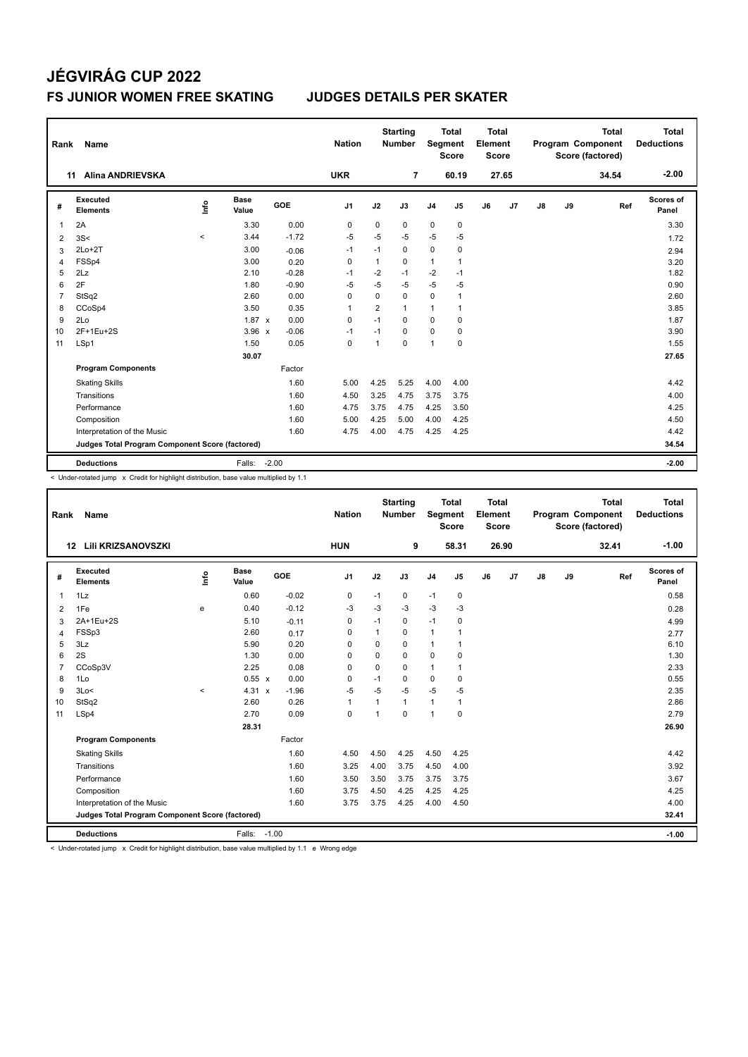| Rank           | Name                                            |         |                      |         | <b>Nation</b>  |                | <b>Starting</b><br><b>Number</b> |                | <b>Total</b><br>Segment<br><b>Score</b> | <b>Total</b><br>Element<br><b>Score</b> |       |               |    | <b>Total</b><br>Program Component<br>Score (factored) | <b>Total</b><br><b>Deductions</b> |
|----------------|-------------------------------------------------|---------|----------------------|---------|----------------|----------------|----------------------------------|----------------|-----------------------------------------|-----------------------------------------|-------|---------------|----|-------------------------------------------------------|-----------------------------------|
|                | <b>Alina ANDRIEVSKA</b><br>11                   |         |                      |         | <b>UKR</b>     |                | $\overline{7}$                   |                | 60.19                                   |                                         | 27.65 |               |    | 34.54                                                 | $-2.00$                           |
| #              | Executed<br><b>Elements</b>                     | Linfo   | <b>Base</b><br>Value | GOE     | J <sub>1</sub> | J2             | J3                               | J <sub>4</sub> | J <sub>5</sub>                          | J6                                      | J7    | $\mathsf{J}8$ | J9 | Ref                                                   | Scores of<br>Panel                |
| 1              | 2A                                              |         | 3.30                 | 0.00    | $\mathbf 0$    | 0              | $\mathbf 0$                      | $\pmb{0}$      | $\pmb{0}$                               |                                         |       |               |    |                                                       | 3.30                              |
| $\overline{2}$ | 3S<                                             | $\prec$ | 3.44                 | $-1.72$ | $-5$           | $-5$           | $-5$                             | $-5$           | $-5$                                    |                                         |       |               |    |                                                       | 1.72                              |
| 3              | $2Lo+2T$                                        |         | 3.00                 | $-0.06$ | $-1$           | $-1$           | $\mathbf 0$                      | $\pmb{0}$      | $\pmb{0}$                               |                                         |       |               |    |                                                       | 2.94                              |
| 4              | FSSp4                                           |         | 3.00                 | 0.20    | $\mathbf 0$    | $\mathbf{1}$   | 0                                | $\mathbf{1}$   | 1                                       |                                         |       |               |    |                                                       | 3.20                              |
| 5              | 2Lz                                             |         | 2.10                 | $-0.28$ | $-1$           | $-2$           | $-1$                             | $-2$           | $-1$                                    |                                         |       |               |    |                                                       | 1.82                              |
| 6              | 2F                                              |         | 1.80                 | $-0.90$ | $-5$           | $-5$           | -5                               | $-5$           | -5                                      |                                         |       |               |    |                                                       | 0.90                              |
| 7              | StSq2                                           |         | 2.60                 | 0.00    | 0              | 0              | $\mathbf 0$                      | $\mathbf 0$    | $\overline{1}$                          |                                         |       |               |    |                                                       | 2.60                              |
| 8              | CCoSp4                                          |         | 3.50                 | 0.35    | 1              | $\overline{2}$ | $\mathbf{1}$                     | $\mathbf{1}$   | 1                                       |                                         |       |               |    |                                                       | 3.85                              |
| 9              | 2Lo                                             |         | $1.87 \times$        | 0.00    | 0              | $-1$           | 0                                | 0              | 0                                       |                                         |       |               |    |                                                       | 1.87                              |
| 10             | 2F+1Eu+2S                                       |         | $3.96 \times$        | $-0.06$ | $-1$           | $-1$           | $\Omega$                         | $\mathbf 0$    | 0                                       |                                         |       |               |    |                                                       | 3.90                              |
| 11             | LSp1                                            |         | 1.50                 | 0.05    | $\mathbf 0$    | 1              | $\mathbf 0$                      | 1              | $\pmb{0}$                               |                                         |       |               |    |                                                       | 1.55                              |
|                |                                                 |         | 30.07                |         |                |                |                                  |                |                                         |                                         |       |               |    |                                                       | 27.65                             |
|                | <b>Program Components</b>                       |         |                      | Factor  |                |                |                                  |                |                                         |                                         |       |               |    |                                                       |                                   |
|                | <b>Skating Skills</b>                           |         |                      | 1.60    | 5.00           | 4.25           | 5.25                             | 4.00           | 4.00                                    |                                         |       |               |    |                                                       | 4.42                              |
|                | Transitions                                     |         |                      | 1.60    | 4.50           | 3.25           | 4.75                             | 3.75           | 3.75                                    |                                         |       |               |    |                                                       | 4.00                              |
|                | Performance                                     |         |                      | 1.60    | 4.75           | 3.75           | 4.75                             | 4.25           | 3.50                                    |                                         |       |               |    |                                                       | 4.25                              |
|                | Composition                                     |         |                      | 1.60    | 5.00           | 4.25           | 5.00                             | 4.00           | 4.25                                    |                                         |       |               |    |                                                       | 4.50                              |
|                | Interpretation of the Music                     |         |                      | 1.60    | 4.75           | 4.00           | 4.75                             | 4.25           | 4.25                                    |                                         |       |               |    |                                                       | 4.42                              |
|                | Judges Total Program Component Score (factored) |         |                      |         |                |                |                                  |                |                                         |                                         |       |               |    |                                                       | 34.54                             |
|                | <b>Deductions</b>                               |         | Falls:               | $-2.00$ |                |                |                                  |                |                                         |                                         |       |               |    |                                                       | $-2.00$                           |

< Under-rotated jump x Credit for highlight distribution, base value multiplied by 1.1

| Rank           | <b>Name</b>                                     |                                  |                      |         | <b>Nation</b>  |                         | <b>Starting</b><br><b>Number</b> | Segment        | <b>Total</b><br><b>Score</b> | Total<br>Element<br><b>Score</b> |       |    |    | <b>Total</b><br>Program Component<br>Score (factored) | <b>Total</b><br><b>Deductions</b> |
|----------------|-------------------------------------------------|----------------------------------|----------------------|---------|----------------|-------------------------|----------------------------------|----------------|------------------------------|----------------------------------|-------|----|----|-------------------------------------------------------|-----------------------------------|
|                | Lili KRIZSANOVSZKI<br>12                        |                                  |                      |         | <b>HUN</b>     |                         | 9                                |                | 58.31                        |                                  | 26.90 |    |    | 32.41                                                 | $-1.00$                           |
| #              | Executed<br><b>Elements</b>                     | $\mathop{\mathsf{Irr}}\nolimits$ | <b>Base</b><br>Value | GOE     | J <sub>1</sub> | J2                      | J3                               | J <sub>4</sub> | J5                           | J6                               | J7    | J8 | J9 | Ref                                                   | Scores of<br>Panel                |
| $\overline{1}$ | 1Lz                                             |                                  | 0.60                 | $-0.02$ | 0              | $-1$                    | 0                                | $-1$           | $\mathbf 0$                  |                                  |       |    |    |                                                       | 0.58                              |
| 2              | 1Fe                                             | e                                | 0.40                 | $-0.12$ | $-3$           | $-3$                    | $-3$                             | $-3$           | $-3$                         |                                  |       |    |    |                                                       | 0.28                              |
| 3              | 2A+1Eu+2S                                       |                                  | 5.10                 | $-0.11$ | 0              | $-1$                    | 0                                | $-1$           | 0                            |                                  |       |    |    |                                                       | 4.99                              |
| $\overline{4}$ | FSSp3                                           |                                  | 2.60                 | 0.17    | $\mathbf 0$    |                         | 0                                | $\mathbf{1}$   |                              |                                  |       |    |    |                                                       | 2.77                              |
| 5              | 3Lz                                             |                                  | 5.90                 | 0.20    | $\Omega$       | $\Omega$                | $\Omega$                         | $\mathbf{1}$   |                              |                                  |       |    |    |                                                       | 6.10                              |
| 6              | 2S                                              |                                  | 1.30                 | 0.00    | $\Omega$       | $\Omega$                | $\Omega$                         | $\mathbf 0$    | 0                            |                                  |       |    |    |                                                       | 1.30                              |
| $\overline{7}$ | CCoSp3V                                         |                                  | 2.25                 | 0.08    | 0              | $\mathbf 0$             | $\Omega$                         | $\mathbf{1}$   |                              |                                  |       |    |    |                                                       | 2.33                              |
| 8              | 1Lo                                             |                                  | 0.55 x               | 0.00    | $\mathbf 0$    | $-1$                    | 0                                | $\mathbf 0$    | $\mathbf 0$                  |                                  |       |    |    |                                                       | 0.55                              |
| 9              | 3Lo<                                            | $\prec$                          | $4.31 \times$        | $-1.96$ | $-5$           | $-5$                    | $-5$                             | $-5$           | $-5$                         |                                  |       |    |    |                                                       | 2.35                              |
| 10             | StSq2                                           |                                  | 2.60                 | 0.26    | $\mathbf{1}$   |                         | $\mathbf{1}$                     | $\mathbf{1}$   | 1                            |                                  |       |    |    |                                                       | 2.86                              |
| 11             | LSp4                                            |                                  | 2.70                 | 0.09    | $\mathbf 0$    | $\overline{\mathbf{1}}$ | $\Omega$                         | $\overline{1}$ | $\mathbf 0$                  |                                  |       |    |    |                                                       | 2.79                              |
|                |                                                 |                                  | 28.31                |         |                |                         |                                  |                |                              |                                  |       |    |    |                                                       | 26.90                             |
|                | <b>Program Components</b>                       |                                  |                      | Factor  |                |                         |                                  |                |                              |                                  |       |    |    |                                                       |                                   |
|                | <b>Skating Skills</b>                           |                                  |                      | 1.60    | 4.50           | 4.50                    | 4.25                             | 4.50           | 4.25                         |                                  |       |    |    |                                                       | 4.42                              |
|                | Transitions                                     |                                  |                      | 1.60    | 3.25           | 4.00                    | 3.75                             | 4.50           | 4.00                         |                                  |       |    |    |                                                       | 3.92                              |
|                | Performance                                     |                                  |                      | 1.60    | 3.50           | 3.50                    | 3.75                             | 3.75           | 3.75                         |                                  |       |    |    |                                                       | 3.67                              |
|                | Composition                                     |                                  |                      | 1.60    | 3.75           | 4.50                    | 4.25                             | 4.25           | 4.25                         |                                  |       |    |    |                                                       | 4.25                              |
|                | Interpretation of the Music                     |                                  |                      | 1.60    | 3.75           | 3.75                    | 4.25                             | 4.00           | 4.50                         |                                  |       |    |    |                                                       | 4.00                              |
|                | Judges Total Program Component Score (factored) |                                  |                      |         |                |                         |                                  |                |                              |                                  |       |    |    |                                                       | 32.41                             |
|                | <b>Deductions</b>                               |                                  | Falls: -1.00         |         |                |                         |                                  |                |                              |                                  |       |    |    |                                                       | $-1.00$                           |

< Under-rotated jump x Credit for highlight distribution, base value multiplied by 1.1 e Wrong edge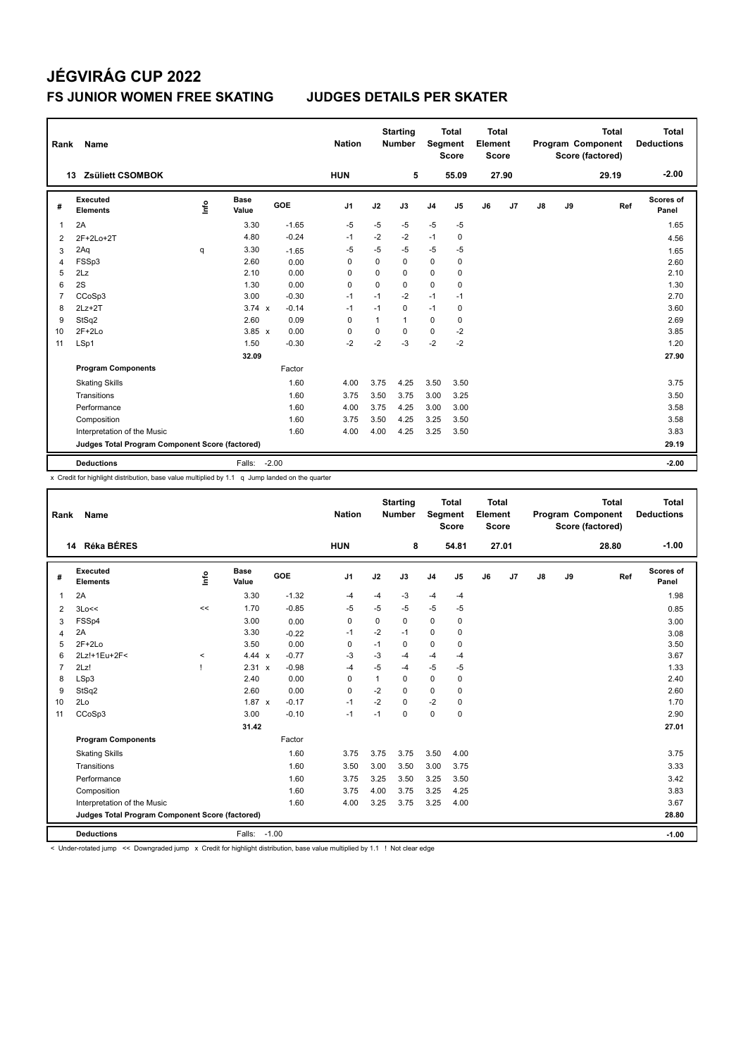| Rank           | Name                                            |      |               |         | <b>Nation</b>  |              | <b>Starting</b><br><b>Number</b> | Segment        | <b>Total</b><br><b>Score</b> | <b>Total</b><br>Element<br><b>Score</b> |       |    |    | <b>Total</b><br>Program Component<br>Score (factored) | <b>Total</b><br><b>Deductions</b> |
|----------------|-------------------------------------------------|------|---------------|---------|----------------|--------------|----------------------------------|----------------|------------------------------|-----------------------------------------|-------|----|----|-------------------------------------------------------|-----------------------------------|
|                | <b>Zsüliett CSOMBOK</b><br>13                   |      |               |         | <b>HUN</b>     |              | 5                                |                | 55.09                        |                                         | 27.90 |    |    | 29.19                                                 | $-2.00$                           |
| #              | Executed<br><b>Elements</b>                     | lnfo | Base<br>Value | GOE     | J <sub>1</sub> | J2           | J3                               | J <sub>4</sub> | J5                           | J6                                      | J7    | J8 | J9 | Ref                                                   | Scores of<br>Panel                |
| 1              | 2A                                              |      | 3.30          | $-1.65$ | $-5$           | $-5$         | $-5$                             | $-5$           | $-5$                         |                                         |       |    |    |                                                       | 1.65                              |
| 2              | 2F+2Lo+2T                                       |      | 4.80          | $-0.24$ | $-1$           | $-2$         | $-2$                             | $-1$           | 0                            |                                         |       |    |    |                                                       | 4.56                              |
| 3              | 2Aq                                             | q    | 3.30          | $-1.65$ | -5             | $-5$         | $-5$                             | $-5$           | -5                           |                                         |       |    |    |                                                       | 1.65                              |
| 4              | FSSp3                                           |      | 2.60          | 0.00    | 0              | $\Omega$     | 0                                | 0              | 0                            |                                         |       |    |    |                                                       | 2.60                              |
| 5              | 2Lz                                             |      | 2.10          | 0.00    | $\Omega$       | 0            | 0                                | 0              | 0                            |                                         |       |    |    |                                                       | 2.10                              |
| 6              | 2S                                              |      | 1.30          | 0.00    | 0              | $\mathbf 0$  | 0                                | $\mathbf 0$    | $\mathbf 0$                  |                                         |       |    |    |                                                       | 1.30                              |
| $\overline{7}$ | CCoSp3                                          |      | 3.00          | $-0.30$ | $-1$           | $-1$         | $-2$                             | $-1$           | $-1$                         |                                         |       |    |    |                                                       | 2.70                              |
| 8              | $2Lz+2T$                                        |      | $3.74 \times$ | $-0.14$ | $-1$           | $-1$         | 0                                | $-1$           | 0                            |                                         |       |    |    |                                                       | 3.60                              |
| 9              | StSq2                                           |      | 2.60          | 0.09    | $\Omega$       | $\mathbf{1}$ | 1                                | 0              | 0                            |                                         |       |    |    |                                                       | 2.69                              |
| 10             | $2F+2Lo$                                        |      | $3.85 \times$ | 0.00    | 0              | 0            | $\Omega$                         | 0              | $-2$                         |                                         |       |    |    |                                                       | 3.85                              |
| 11             | LSp1                                            |      | 1.50          | $-0.30$ | $-2$           | $-2$         | $-3$                             | $-2$           | $-2$                         |                                         |       |    |    |                                                       | 1.20                              |
|                |                                                 |      | 32.09         |         |                |              |                                  |                |                              |                                         |       |    |    |                                                       | 27.90                             |
|                | <b>Program Components</b>                       |      |               | Factor  |                |              |                                  |                |                              |                                         |       |    |    |                                                       |                                   |
|                | <b>Skating Skills</b>                           |      |               | 1.60    | 4.00           | 3.75         | 4.25                             | 3.50           | 3.50                         |                                         |       |    |    |                                                       | 3.75                              |
|                | Transitions                                     |      |               | 1.60    | 3.75           | 3.50         | 3.75                             | 3.00           | 3.25                         |                                         |       |    |    |                                                       | 3.50                              |
|                | Performance                                     |      |               | 1.60    | 4.00           | 3.75         | 4.25                             | 3.00           | 3.00                         |                                         |       |    |    |                                                       | 3.58                              |
|                | Composition                                     |      |               | 1.60    | 3.75           | 3.50         | 4.25                             | 3.25           | 3.50                         |                                         |       |    |    |                                                       | 3.58                              |
|                | Interpretation of the Music                     |      |               | 1.60    | 4.00           | 4.00         | 4.25                             | 3.25           | 3.50                         |                                         |       |    |    |                                                       | 3.83                              |
|                | Judges Total Program Component Score (factored) |      |               |         |                |              |                                  |                |                              |                                         |       |    |    |                                                       | 29.19                             |
|                | <b>Deductions</b>                               |      | Falls:        | $-2.00$ |                |              |                                  |                |                              |                                         |       |    |    |                                                       | $-2.00$                           |

x Credit for highlight distribution, base value multiplied by 1.1 q Jump landed on the quarter

| Rank           | <b>Name</b>                                     |          |                      |         | <b>Nation</b>  |              | <b>Starting</b><br><b>Number</b> | Segment        | <b>Total</b><br><b>Score</b> | <b>Total</b><br>Element<br><b>Score</b> |       |               |    | <b>Total</b><br>Program Component<br>Score (factored) | <b>Total</b><br><b>Deductions</b> |
|----------------|-------------------------------------------------|----------|----------------------|---------|----------------|--------------|----------------------------------|----------------|------------------------------|-----------------------------------------|-------|---------------|----|-------------------------------------------------------|-----------------------------------|
|                | 14 Réka BÉRES                                   |          |                      |         | <b>HUN</b>     |              | 8                                |                | 54.81                        |                                         | 27.01 |               |    | 28.80                                                 | $-1.00$                           |
| #              | Executed<br><b>Elements</b>                     | Info     | <b>Base</b><br>Value | GOE     | J <sub>1</sub> | J2           | J3                               | J <sub>4</sub> | J5                           | J6                                      | J7    | $\mathsf{J}8$ | J9 | Ref                                                   | Scores of<br>Panel                |
| $\overline{1}$ | 2A                                              |          | 3.30                 | $-1.32$ | $-4$           | $-4$         | $-3$                             | $-4$           | $-4$                         |                                         |       |               |    |                                                       | 1.98                              |
| 2              | 3Lo<<                                           | <<       | 1.70                 | $-0.85$ | $-5$           | $-5$         | $-5$                             | $-5$           | $-5$                         |                                         |       |               |    |                                                       | 0.85                              |
| 3              | FSSp4                                           |          | 3.00                 | 0.00    | 0              | 0            | 0                                | $\mathbf 0$    | 0                            |                                         |       |               |    |                                                       | 3.00                              |
| 4              | 2A                                              |          | 3.30                 | $-0.22$ | $-1$           | $-2$         | $-1$                             | $\pmb{0}$      | $\mathbf 0$                  |                                         |       |               |    |                                                       | 3.08                              |
| 5              | $2F+2Lo$                                        |          | 3.50                 | 0.00    | 0              | $-1$         | 0                                | 0              | 0                            |                                         |       |               |    |                                                       | 3.50                              |
| 6              | 2Lz!+1Eu+2F<                                    | $\hat{}$ | 4.44 $\times$        | $-0.77$ | -3             | $-3$         | $-4$                             | -4             | $-4$                         |                                         |       |               |    |                                                       | 3.67                              |
| $\overline{7}$ | 2Lz!                                            |          | 2.31 x               | $-0.98$ | -4             | $-5$         | $-4$                             | $-5$           | $-5$                         |                                         |       |               |    |                                                       | 1.33                              |
| 8              | LSp3                                            |          | 2.40                 | 0.00    | $\mathbf 0$    | $\mathbf{1}$ | 0                                | $\mathbf 0$    | $\mathbf 0$                  |                                         |       |               |    |                                                       | 2.40                              |
| 9              | StSq2                                           |          | 2.60                 | 0.00    | $\mathbf 0$    | $-2$         | 0                                | $\mathbf 0$    | 0                            |                                         |       |               |    |                                                       | 2.60                              |
| 10             | 2Lo                                             |          | $1.87 \times$        | $-0.17$ | $-1$           | $-2$         | 0                                | $-2$           | $\mathbf 0$                  |                                         |       |               |    |                                                       | 1.70                              |
| 11             | CCoSp3                                          |          | 3.00                 | $-0.10$ | $-1$           | $-1$         | $\Omega$                         | $\mathbf 0$    | $\mathbf 0$                  |                                         |       |               |    |                                                       | 2.90                              |
|                |                                                 |          | 31.42                |         |                |              |                                  |                |                              |                                         |       |               |    |                                                       | 27.01                             |
|                | <b>Program Components</b>                       |          |                      | Factor  |                |              |                                  |                |                              |                                         |       |               |    |                                                       |                                   |
|                | <b>Skating Skills</b>                           |          |                      | 1.60    | 3.75           | 3.75         | 3.75                             | 3.50           | 4.00                         |                                         |       |               |    |                                                       | 3.75                              |
|                | Transitions                                     |          |                      | 1.60    | 3.50           | 3.00         | 3.50                             | 3.00           | 3.75                         |                                         |       |               |    |                                                       | 3.33                              |
|                | Performance                                     |          |                      | 1.60    | 3.75           | 3.25         | 3.50                             | 3.25           | 3.50                         |                                         |       |               |    |                                                       | 3.42                              |
|                | Composition                                     |          |                      | 1.60    | 3.75           | 4.00         | 3.75                             | 3.25           | 4.25                         |                                         |       |               |    |                                                       | 3.83                              |
|                | Interpretation of the Music                     |          |                      | 1.60    | 4.00           | 3.25         | 3.75                             | 3.25           | 4.00                         |                                         |       |               |    |                                                       | 3.67                              |
|                | Judges Total Program Component Score (factored) |          |                      |         |                |              |                                  |                |                              |                                         |       |               |    |                                                       | 28.80                             |
|                | <b>Deductions</b>                               |          | Falls:               | $-1.00$ |                |              |                                  |                |                              |                                         |       |               |    |                                                       | $-1.00$                           |

< Under-rotated jump << Downgraded jump x Credit for highlight distribution, base value multiplied by 1.1 ! Not clear edge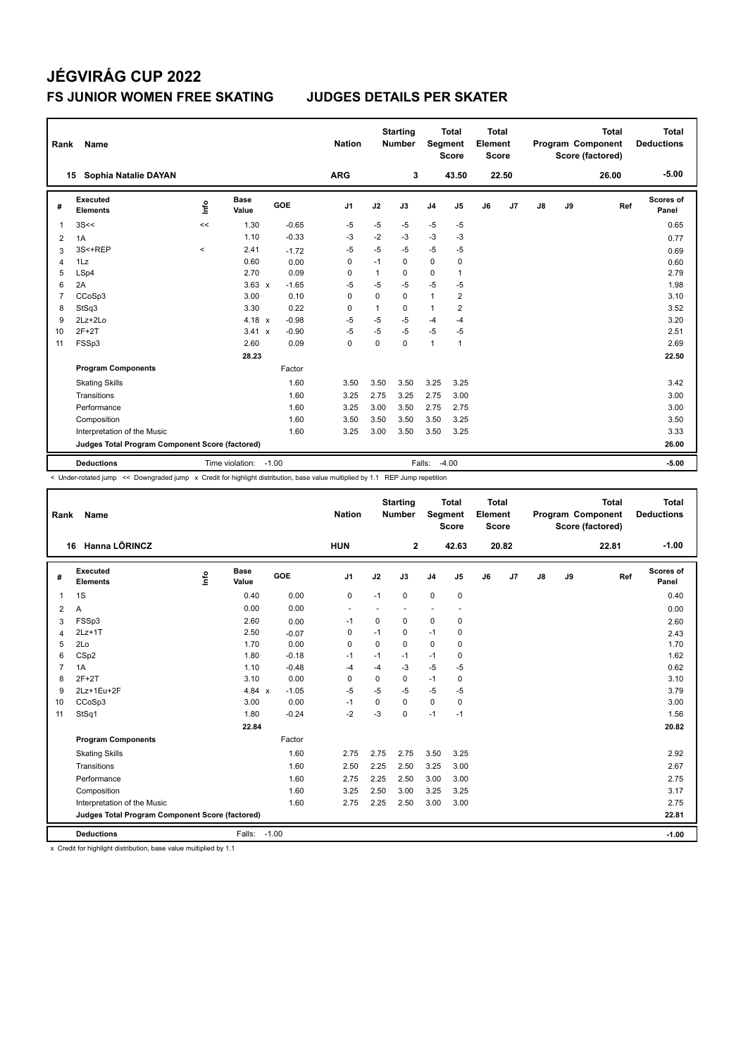| Rank           | Name                                            |                   |                      |         | <b>Nation</b>  |          | <b>Starting</b><br><b>Number</b> | <b>Segment</b> | <b>Total</b><br><b>Score</b> | <b>Total</b><br>Element<br><b>Score</b> |                |               |    | <b>Total</b><br>Program Component<br>Score (factored) | <b>Total</b><br><b>Deductions</b> |
|----------------|-------------------------------------------------|-------------------|----------------------|---------|----------------|----------|----------------------------------|----------------|------------------------------|-----------------------------------------|----------------|---------------|----|-------------------------------------------------------|-----------------------------------|
|                | Sophia Natalie DAYAN<br>15                      |                   |                      |         | <b>ARG</b>     |          | 3                                |                | 43.50                        |                                         | 22.50          |               |    | 26.00                                                 | $-5.00$                           |
| #              | Executed<br><b>Elements</b>                     | ۴d                | <b>Base</b><br>Value | GOE     | J <sub>1</sub> | J2       | J3                               | J <sub>4</sub> | J5                           | J6                                      | J <sub>7</sub> | $\mathsf{J}8$ | J9 | Ref                                                   | Scores of<br>Panel                |
| 1              | 3S<<                                            | <<                | 1.30                 | $-0.65$ | $-5$           | $-5$     | $-5$                             | $-5$           | $-5$                         |                                         |                |               |    |                                                       | 0.65                              |
| 2              | 1A                                              |                   | 1.10                 | $-0.33$ | -3             | $-2$     | -3                               | $-3$           | -3                           |                                         |                |               |    |                                                       | 0.77                              |
| 3              | 3S<+REP                                         | $\prec$           | 2.41                 | $-1.72$ | $-5$           | $-5$     | $-5$                             | $-5$           | -5                           |                                         |                |               |    |                                                       | 0.69                              |
| 4              | 1Lz                                             |                   | 0.60                 | 0.00    | 0              | $-1$     | 0                                | $\pmb{0}$      | 0                            |                                         |                |               |    |                                                       | 0.60                              |
| 5              | LSp4                                            |                   | 2.70                 | 0.09    | 0              | 1        | 0                                | 0              | $\mathbf{1}$                 |                                         |                |               |    |                                                       | 2.79                              |
| 6              | 2A                                              |                   | $3.63 \times$        | $-1.65$ | $-5$           | $-5$     | $-5$                             | $-5$           | $-5$                         |                                         |                |               |    |                                                       | 1.98                              |
| $\overline{7}$ | CCoSp3                                          |                   | 3.00                 | 0.10    | 0              | $\Omega$ | $\Omega$                         | $\mathbf{1}$   | $\overline{2}$               |                                         |                |               |    |                                                       | 3.10                              |
| 8              | StSq3                                           |                   | 3.30                 | 0.22    | 0              | 1        | $\Omega$                         | $\mathbf{1}$   | 2                            |                                         |                |               |    |                                                       | 3.52                              |
| 9              | $2Lz + 2Lo$                                     |                   | 4.18 $\times$        | $-0.98$ | $-5$           | $-5$     | -5                               | $-4$           | $-4$                         |                                         |                |               |    |                                                       | 3.20                              |
| 10             | $2F+2T$                                         |                   | $3.41 \times$        | $-0.90$ | $-5$           | -5       | $-5$                             | $-5$           | $-5$                         |                                         |                |               |    |                                                       | 2.51                              |
| 11             | FSSp3                                           |                   | 2.60                 | 0.09    | $\mathbf 0$    | 0        | $\Omega$                         | $\mathbf{1}$   | 1                            |                                         |                |               |    |                                                       | 2.69                              |
|                |                                                 |                   | 28.23                |         |                |          |                                  |                |                              |                                         |                |               |    |                                                       | 22.50                             |
|                | <b>Program Components</b>                       |                   |                      | Factor  |                |          |                                  |                |                              |                                         |                |               |    |                                                       |                                   |
|                | <b>Skating Skills</b>                           |                   |                      | 1.60    | 3.50           | 3.50     | 3.50                             | 3.25           | 3.25                         |                                         |                |               |    |                                                       | 3.42                              |
|                | Transitions                                     |                   |                      | 1.60    | 3.25           | 2.75     | 3.25                             | 2.75           | 3.00                         |                                         |                |               |    |                                                       | 3.00                              |
|                | Performance                                     |                   |                      | 1.60    | 3.25           | 3.00     | 3.50                             | 2.75           | 2.75                         |                                         |                |               |    |                                                       | 3.00                              |
|                | Composition                                     |                   |                      | 1.60    | 3.50           | 3.50     | 3.50                             | 3.50           | 3.25                         |                                         |                |               |    |                                                       | 3.50                              |
|                | Interpretation of the Music                     |                   |                      | 1.60    | 3.25           | 3.00     | 3.50                             | 3.50           | 3.25                         |                                         |                |               |    |                                                       | 3.33                              |
|                | Judges Total Program Component Score (factored) |                   |                      |         |                |          |                                  |                |                              |                                         |                |               |    |                                                       | 26.00                             |
|                | <b>Deductions</b>                               | $-4.00$<br>Falls: |                      |         |                |          |                                  |                |                              |                                         |                | $-5.00$       |    |                                                       |                                   |

< Under-rotated jump << Downgraded jump x Credit for highlight distribution, base value multiplied by 1.1 REP Jump repetition

| Rank           | Name                                            |      |                      |            | <b>Nation</b>            |             | <b>Starting</b><br><b>Number</b> | Segment        | <b>Total</b><br><b>Score</b> | <b>Total</b><br>Element<br><b>Score</b> |       |               |    | <b>Total</b><br>Program Component<br>Score (factored) | <b>Total</b><br><b>Deductions</b> |
|----------------|-------------------------------------------------|------|----------------------|------------|--------------------------|-------------|----------------------------------|----------------|------------------------------|-----------------------------------------|-------|---------------|----|-------------------------------------------------------|-----------------------------------|
|                | Hanna LÕRINCZ<br>16                             |      |                      |            | <b>HUN</b>               |             | $\mathbf{2}$                     |                | 42.63                        |                                         | 20.82 |               |    | 22.81                                                 | $-1.00$                           |
| #              | Executed<br><b>Elements</b>                     | lnfo | <b>Base</b><br>Value | <b>GOE</b> | J <sub>1</sub>           | J2          | J3                               | J <sub>4</sub> | J5                           | J6                                      | J7    | $\mathsf{J}8$ | J9 | Ref                                                   | Scores of<br>Panel                |
| 1              | 1S                                              |      | 0.40                 | 0.00       | $\pmb{0}$                | $-1$        | $\Omega$                         | $\mathbf 0$    | $\mathbf 0$                  |                                         |       |               |    |                                                       | 0.40                              |
| 2              | A                                               |      | 0.00                 | 0.00       | $\overline{\phantom{a}}$ | ٠           |                                  | ٠              | $\overline{\phantom{a}}$     |                                         |       |               |    |                                                       | 0.00                              |
| 3              | FSSp3                                           |      | 2.60                 | 0.00       | $-1$                     | $\mathbf 0$ | $\mathbf 0$                      | $\mathbf 0$    | 0                            |                                         |       |               |    |                                                       | 2.60                              |
| 4              | $2Lz+1T$                                        |      | 2.50                 | $-0.07$    | $\Omega$                 | $-1$        | $\Omega$                         | $-1$           | 0                            |                                         |       |               |    |                                                       | 2.43                              |
| 5              | 2Lo                                             |      | 1.70                 | 0.00       | $\mathbf 0$              | $\mathbf 0$ | $\Omega$                         | $\mathbf 0$    | 0                            |                                         |       |               |    |                                                       | 1.70                              |
| 6              | CSp2                                            |      | 1.80                 | $-0.18$    | $-1$                     | $-1$        | $-1$                             | $-1$           | 0                            |                                         |       |               |    |                                                       | 1.62                              |
| $\overline{7}$ | 1A                                              |      | 1.10                 | $-0.48$    | $-4$                     | $-4$        | $-3$                             | $-5$           | $-5$                         |                                         |       |               |    |                                                       | 0.62                              |
| 8              | $2F+2T$                                         |      | 3.10                 | 0.00       | 0                        | $\mathbf 0$ | 0                                | $-1$           | $\mathbf 0$                  |                                         |       |               |    |                                                       | 3.10                              |
| 9              | 2Lz+1Eu+2F                                      |      | 4.84 $x$             | $-1.05$    | $-5$                     | $-5$        | $-5$                             | $-5$           | -5                           |                                         |       |               |    |                                                       | 3.79                              |
| 10             | CCoSp3                                          |      | 3.00                 | 0.00       | -1                       | $\mathbf 0$ | $\Omega$                         | $\mathbf 0$    | 0                            |                                         |       |               |    |                                                       | 3.00                              |
| 11             | StSq1                                           |      | 1.80                 | $-0.24$    | $-2$                     | $-3$        | $\mathbf 0$                      | $-1$           | $-1$                         |                                         |       |               |    |                                                       | 1.56                              |
|                |                                                 |      | 22.84                |            |                          |             |                                  |                |                              |                                         |       |               |    |                                                       | 20.82                             |
|                | <b>Program Components</b>                       |      |                      | Factor     |                          |             |                                  |                |                              |                                         |       |               |    |                                                       |                                   |
|                | <b>Skating Skills</b>                           |      |                      | 1.60       | 2.75                     | 2.75        | 2.75                             | 3.50           | 3.25                         |                                         |       |               |    |                                                       | 2.92                              |
|                | Transitions                                     |      |                      | 1.60       | 2.50                     | 2.25        | 2.50                             | 3.25           | 3.00                         |                                         |       |               |    |                                                       | 2.67                              |
|                | Performance                                     |      |                      | 1.60       | 2.75                     | 2.25        | 2.50                             | 3.00           | 3.00                         |                                         |       |               |    |                                                       | 2.75                              |
|                | Composition                                     |      |                      | 1.60       | 3.25                     | 2.50        | 3.00                             | 3.25           | 3.25                         |                                         |       |               |    |                                                       | 3.17                              |
|                | Interpretation of the Music                     |      |                      | 1.60       | 2.75                     | 2.25        | 2.50                             | 3.00           | 3.00                         |                                         |       |               |    |                                                       | 2.75                              |
|                | Judges Total Program Component Score (factored) |      |                      |            |                          |             |                                  |                |                              |                                         |       |               |    |                                                       | 22.81                             |
|                | <b>Deductions</b>                               |      | Falls: -1.00         |            |                          |             |                                  |                |                              |                                         |       |               |    |                                                       | $-1.00$                           |

x Credit for highlight distribution, base value multiplied by 1.1